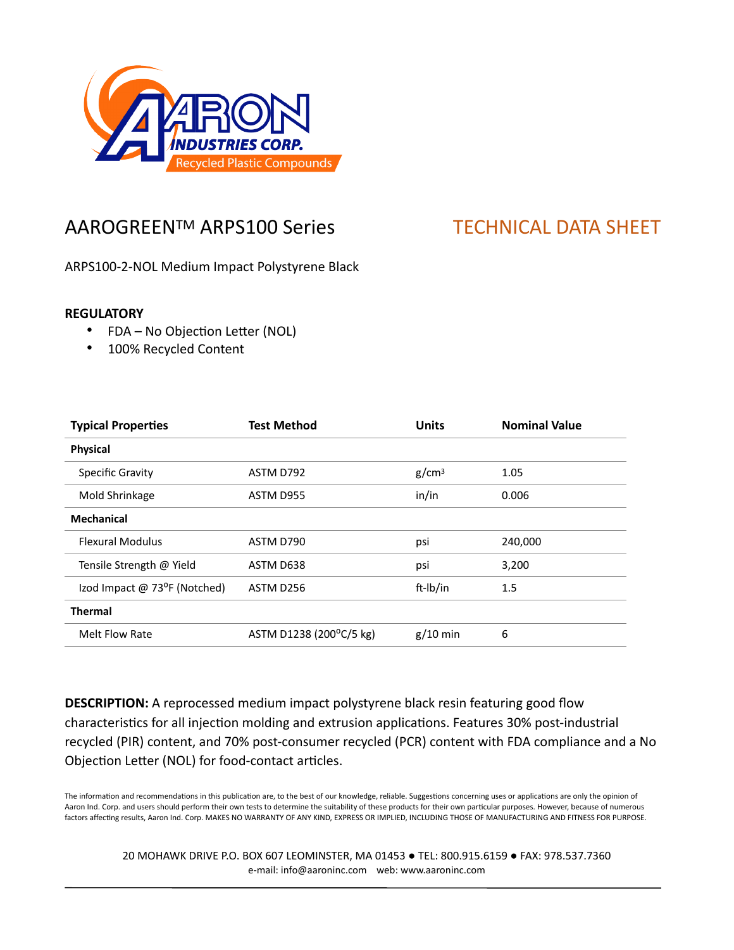

## AAROGREEN™ ARPS100 Series TECHNICAL DATA SHEET

ARPS100-2-NOL Medium Impact Polystyrene Black

## **REGULATORY**

- FDA No Objection Letter (NOL)
- 100% Recycled Content

| <b>Typical Properties</b>    | <b>Test Method</b>      | <b>Units</b>      | <b>Nominal Value</b> |
|------------------------------|-------------------------|-------------------|----------------------|
| <b>Physical</b>              |                         |                   |                      |
| Specific Gravity             | ASTM D792               | g/cm <sup>3</sup> | 1.05                 |
| Mold Shrinkage               | ASTM D955               | in/in             | 0.006                |
| <b>Mechanical</b>            |                         |                   |                      |
| <b>Flexural Modulus</b>      | ASTM D790               | psi               | 240,000              |
| Tensile Strength @ Yield     | ASTM D638               | psi               | 3,200                |
| Izod Impact @ 73°F (Notched) | ASTM D256               | ft-Ib/in          | 1.5                  |
| <b>Thermal</b>               |                         |                   |                      |
| Melt Flow Rate               | ASTM D1238 (200°C/5 kg) | $g/10$ min        | 6                    |

**DESCRIPTION:** A reprocessed medium impact polystyrene black resin featuring good flow characteristics for all injection molding and extrusion applications. Features 30% post-industrial recycled (PIR) content, and 70% post-consumer recycled (PCR) content with FDA compliance and a No Objection Letter (NOL) for food-contact articles.

The information and recommendations in this publication are, to the best of our knowledge, reliable. Suggestions concerning uses or applications are only the opinion of Aaron Ind. Corp. and users should perform their own tests to determine the suitability of these products for their own particular purposes. However, because of numerous factors affecting results, Aaron Ind. Corp. MAKES NO WARRANTY OF ANY KIND, EXPRESS OR IMPLIED, INCLUDING THOSE OF MANUFACTURING AND FITNESS FOR PURPOSE.

20 MOHAWK DRIVE P.O. BOX 607 LEOMINSTER, MA 01453 ● TEL: 800.915.6159 ● FAX: 978.537.7360 e-mail: info@aaroninc.com web: www.aaroninc.com